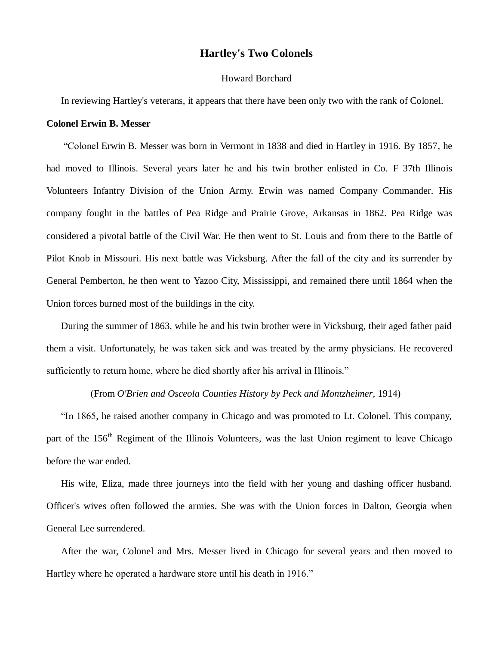## **Hartley's Two Colonels**

## Howard Borchard

In reviewing Hartley's veterans, it appears that there have been only two with the rank of Colonel.

## **Colonel Erwin B. Messer**

"Colonel Erwin B. Messer was born in Vermont in 1838 and died in Hartley in 1916. By 1857, he had moved to Illinois. Several years later he and his twin brother enlisted in Co. F 37th Illinois Volunteers Infantry Division of the Union Army. Erwin was named Company Commander. His company fought in the battles of Pea Ridge and Prairie Grove, Arkansas in 1862. Pea Ridge was considered a pivotal battle of the Civil War. He then went to St. Louis and from there to the Battle of Pilot Knob in Missouri. His next battle was Vicksburg. After the fall of the city and its surrender by General Pemberton, he then went to Yazoo City, Mississippi, and remained there until 1864 when the Union forces burned most of the buildings in the city.

During the summer of 1863, while he and his twin brother were in Vicksburg, their aged father paid them a visit. Unfortunately, he was taken sick and was treated by the army physicians. He recovered sufficiently to return home, where he died shortly after his arrival in Illinois."

(From *O'Brien and Osceola Counties History by Peck and Montzheimer*, 1914)

"In 1865, he raised another company in Chicago and was promoted to Lt. Colonel. This company, part of the 156<sup>th</sup> Regiment of the Illinois Volunteers, was the last Union regiment to leave Chicago before the war ended.

His wife, Eliza, made three journeys into the field with her young and dashing officer husband. Officer's wives often followed the armies. She was with the Union forces in Dalton, Georgia when General Lee surrendered.

After the war, Colonel and Mrs. Messer lived in Chicago for several years and then moved to Hartley where he operated a hardware store until his death in 1916."